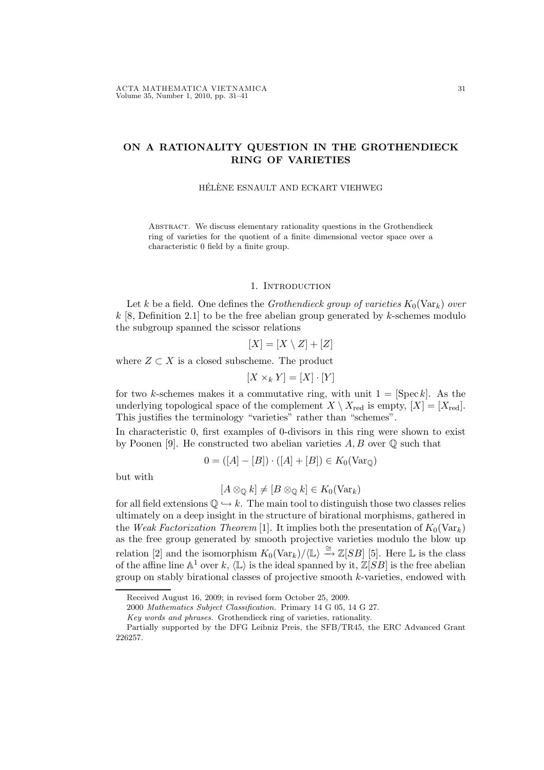# ON A RATIONALITY QUESTION IN THE GROTHENDIECK RING OF VARIETIES

# HÉLÈNE ESNAULT AND ECKART VIEHWEG

ABSTRACT. We discuss elementary rationality questions in the Grothendieck ring of varieties for the quotient of a finite dimensional vector space over a characteristic 0 field by a finite group.

# 1. INTRODUCTION

Let k be a field. One defines the *Grothendieck group of varieties*  $K_0(\text{Var}_k)$  over k [8, Definition 2.1] to be the free abelian group generated by k-schemes modulo the subgroup spanned the scissor relations

$$
[X] = [X \setminus Z] + [Z]
$$

where  $Z \subset X$  is a closed subscheme. The product

$$
[X \times_k Y] = [X] \cdot [Y]
$$

for two k-schemes makes it a commutative ring, with unit  $1 = [Spec k]$ . As the underlying topological space of the complement  $X \setminus X_{\text{red}}$  is empty,  $[X] = [X_{\text{red}}]$ . This justifies the terminology "varieties" rather than "schemes".

In characteristic 0, first examples of 0-divisors in this ring were shown to exist by Poonen [9]. He constructed two abelian varieties  $A, B$  over  $\mathbb Q$  such that

$$
0 = ([A] - [B]) \cdot ([A] + [B]) \in K_0(\text{Var}_{\mathbb{Q}})
$$

but with

$$
[A \otimes_{\mathbb{Q}} k] \neq [B \otimes_{\mathbb{Q}} k] \in K_0(\text{Var}_k)
$$

for all field extensions  $\mathbb{Q} \hookrightarrow k$ . The main tool to distinguish those two classes relies ultimately on a deep insight in the structure of birational morphisms, gathered in the Weak Factorization Theorem [1]. It implies both the presentation of  $K_0(\text{Var}_k)$ as the free group generated by smooth projective varieties modulo the blow up relation [2] and the isomorphism  $K_0(\text{Var}_k)/\langle \mathbb{L} \rangle \stackrel{\cong}{\longrightarrow} \mathbb{Z}[SB]$  [5]. Here L is the class of the affine line  $\mathbb{A}^1$  over  $k$ ,  $\langle \mathbb{L} \rangle$  is the ideal spanned by it,  $\mathbb{Z}[SB]$  is the free abelian group on stably birational classes of projective smooth k-varieties, endowed with

2000 Mathematics Subject Classification. Primary 14 G 05, 14 G 27.

Received August 16, 2009; in revised form October 25, 2009.

Key words and phrases. Grothendieck ring of varieties, rationality.

Partially supported by the DFG Leibniz Preis, the SFB/TR45, the ERC Advanced Grant 226257.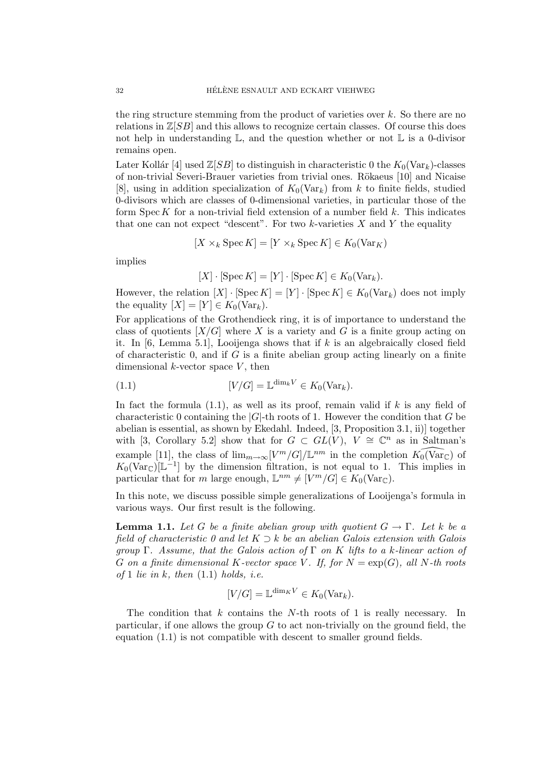the ring structure stemming from the product of varieties over  $k$ . So there are no relations in  $\mathbb{Z}[SB]$  and this allows to recognize certain classes. Of course this does not help in understanding  $\mathbb{L}$ , and the question whether or not  $\mathbb{L}$  is a 0-divisor remains open.

Later Kollár [4] used  $\mathbb{Z}[SB]$  to distinguish in characteristic 0 the  $K_0(\text{Var}_k)$ -classes of non-trivial Severi-Brauer varieties from trivial ones. Rökaeus [10] and Nicaise [8], using in addition specialization of  $K_0(\text{Var}_k)$  from k to finite fields, studied 0-divisors which are classes of 0-dimensional varieties, in particular those of the form  $Spec K$  for a non-trivial field extension of a number field  $k$ . This indicates that one can not expect "descent". For two  $k$ -varieties  $X$  and  $Y$  the equality

$$
[X \times_k \text{Spec } K] = [Y \times_k \text{Spec } K] \in K_0(\text{Var}_K)
$$

implies

$$
[X] \cdot [\operatorname{Spec} K] = [Y] \cdot [\operatorname{Spec} K] \in K_0(\operatorname{Var}_k).
$$

However, the relation  $[X] \cdot [\operatorname{Spec} K] = [Y] \cdot [\operatorname{Spec} K] \in K_0(\operatorname{Var}_k)$  does not imply the equality  $[X] = [Y] \in K_0(\text{Var}_k)$ .

For applications of the Grothendieck ring, it is of importance to understand the class of quotients  $[X/G]$  where X is a variety and G is a finite group acting on it. In  $[6, \text{Lemma } 5.1]$ , Looijenga shows that if k is an algebraically closed field of characteristic  $0$ , and if  $G$  is a finite abelian group acting linearly on a finite dimensional  $k$ -vector space  $V$ , then

(1.1) 
$$
[V/G] = \mathbb{L}^{\dim_k V} \in K_0(\text{Var}_k).
$$

In fact the formula  $(1.1)$ , as well as its proof, remain valid if k is any field of characteristic 0 containing the  $|G|$ -th roots of 1. However the condition that G be abelian is essential, as shown by Ekedahl. Indeed, [3, Proposition 3.1, ii)] together with [3, Corollary 5.2] show that for  $G \subset GL(V)$ ,  $V \cong \mathbb{C}^n$  as in Saltman's example [11], the class of  $\lim_{m\to\infty} [V^m/G]/\mathbb{L}^{nm}$  in the completion  $\widehat{K_0(\text{Var}_\mathbb{C})}$  of  $K_0(\text{Var}_{\mathbb{C}})[\mathbb{L}^{-1}]$  by the dimension filtration, is not equal to 1. This implies in particular that for m large enough,  $\mathbb{L}^{nm} \neq [V^m/G] \in K_0(\text{Var}_{\mathbb{C}})$ .

In this note, we discuss possible simple generalizations of Looijenga's formula in various ways. Our first result is the following.

**Lemma 1.1.** Let G be a finite abelian group with quotient  $G \to \Gamma$ . Let k be a field of characteristic 0 and let  $K \supset k$  be an abelian Galois extension with Galois group  $\Gamma$ . Assume, that the Galois action of  $\Gamma$  on K lifts to a k-linear action of G on a finite dimensional K-vector space V. If, for  $N = \exp(G)$ , all N-th roots of 1 lie in k, then  $(1.1)$  holds, i.e.

$$
[V/G] = \mathbb{L}^{\dim_K V} \in K_0(\text{Var}_k).
$$

The condition that  $k$  contains the  $N$ -th roots of 1 is really necessary. In particular, if one allows the group  $G$  to act non-trivially on the ground field, the equation (1.1) is not compatible with descent to smaller ground fields.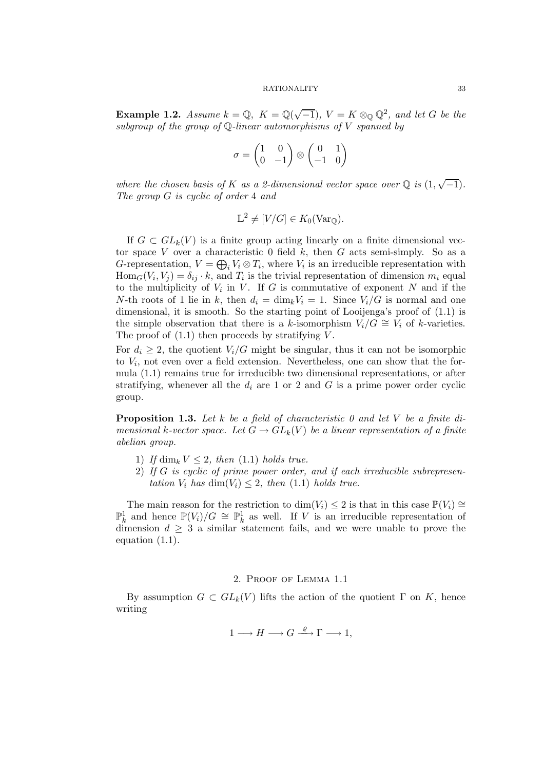**Example 1.2.** Assume  $k = \mathbb{Q}$ ,  $K = \mathbb{Q}(\sqrt{-1})$ ,  $V = K \otimes_{\mathbb{Q}} \mathbb{Q}^2$ , and let G be the subgroup of the group of  $\mathbb Q$ -linear automorphisms of V spanned by

$$
\sigma = \begin{pmatrix} 1 & 0 \\ 0 & -1 \end{pmatrix} \otimes \begin{pmatrix} 0 & 1 \\ -1 & 0 \end{pmatrix}
$$

where the chosen basis of K as a 2-dimensional vector space over  $\mathbb Q$  is  $(1, \sqrt{-1})$ . The group G is cyclic of order 4 and

$$
\mathbb{L}^2 \neq [V/G] \in K_0(\text{Var}_{\mathbb{Q}}).
$$

If  $G \subset GL_k(V)$  is a finite group acting linearly on a finite dimensional vector space V over a characteristic 0 field  $k$ , then  $G$  acts semi-simply. So as a G-representation,  $V = \bigoplus_i V_i \otimes T_i$ , where  $V_i$  is an irreducible representation with  $\text{Hom}_G(V_i, V_j) = \delta_{ij} \cdot k$ , and  $T_i$  is the trivial representation of dimension  $m_i$  equal to the multiplicity of  $V_i$  in V. If G is commutative of exponent N and if the N-th roots of 1 lie in k, then  $d_i = \dim_k V_i = 1$ . Since  $V_i/G$  is normal and one dimensional, it is smooth. So the starting point of Looijenga's proof of (1.1) is the simple observation that there is a k-isomorphism  $V_i/G \cong V_i$  of k-varieties. The proof of  $(1.1)$  then proceeds by stratifying V.

For  $d_i \geq 2$ , the quotient  $V_i/G$  might be singular, thus it can not be isomorphic to V<sup>i</sup> , not even over a field extension. Nevertheless, one can show that the formula (1.1) remains true for irreducible two dimensional representations, or after stratifying, whenever all the  $d_i$  are 1 or 2 and G is a prime power order cyclic group.

**Proposition 1.3.** Let k be a field of characteristic 0 and let V be a finite dimensional k-vector space. Let  $G \to GL_k(V)$  be a linear representation of a finite abelian group.

- 1) If dim<sub>k</sub>  $V \leq 2$ , then (1.1) holds true.
- 2) If G is cyclic of prime power order, and if each irreducible subrepresentation  $V_i$  has  $\dim(V_i) \leq 2$ , then (1.1) holds true.

The main reason for the restriction to  $\dim(V_i) \leq 2$  is that in this case  $\mathbb{P}(V_i) \cong$  $\mathbb{P}_k^1$  and hence  $\mathbb{P}(V_i)/G \cong \mathbb{P}_k^1$  as well. If V is an irreducible representation of dimension  $d \geq 3$  a similar statement fails, and we were unable to prove the equation (1.1).

# 2. Proof of Lemma 1.1

By assumption  $G \subset GL_k(V)$  lifts the action of the quotient  $\Gamma$  on K, hence writing

$$
1 \longrightarrow H \longrightarrow G \stackrel{\varrho}{\longrightarrow} \Gamma \longrightarrow 1,
$$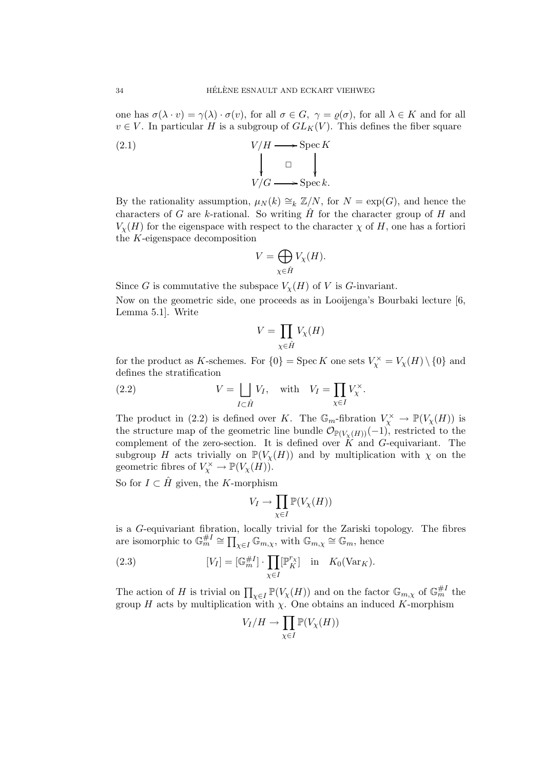one has  $\sigma(\lambda \cdot v) = \gamma(\lambda) \cdot \sigma(v)$ , for all  $\sigma \in G$ ,  $\gamma = \varrho(\sigma)$ , for all  $\lambda \in K$  and for all  $v \in V$ . In particular H is a subgroup of  $GL_K(V)$ . This defines the fiber square

(2.1) 
$$
V/H \longrightarrow \operatorname{Spec} K
$$

$$
\downarrow \Box \qquad \qquad \downarrow
$$

$$
V/G \longrightarrow \operatorname{Spec} k.
$$

By the rationality assumption,  $\mu_N(k) \cong_k \mathbb{Z}/N$ , for  $N = \exp(G)$ , and hence the characters of G are k-rational. So writing  $\hat{H}$  for the character group of H and  $V_{\chi}(H)$  for the eigenspace with respect to the character  $\chi$  of H, one has a fortiori the K-eigenspace decomposition

$$
V = \bigoplus_{\chi \in \hat{H}} V_{\chi}(H).
$$

Since G is commutative the subspace  $V_{\chi}(H)$  of V is G-invariant.

Now on the geometric side, one proceeds as in Looijenga's Bourbaki lecture [6, Lemma 5.1]. Write

$$
V=\prod_{\chi\in\hat{H}}V_\chi(H)
$$

for the product as K-schemes. For  $\{0\} = \text{Spec } K$  one sets  $V_\chi^\times = V_\chi(H) \setminus \{0\}$  and defines the stratification

(2.2) 
$$
V = \bigsqcup_{I \subset \hat{H}} V_I, \quad \text{with} \quad V_I = \prod_{\chi \in I} V_{\chi}^{\times}.
$$

The product in (2.2) is defined over K. The  $\mathbb{G}_m$ -fibration  $V_\chi^\times \to \mathbb{P}(V_\chi(H))$  is the structure map of the geometric line bundle  $\mathcal{O}_{\mathbb{P}(V_{\chi}(H))}(-1)$ , restricted to the complement of the zero-section. It is defined over  $K$  and  $G$ -equivariant. The subgroup H acts trivially on  $\mathbb{P}(V_{\chi}(H))$  and by multiplication with  $\chi$  on the geometric fibres of  $V_\chi^\times \to \mathbb{P}(V_\chi(H))$ .

So for  $I \subset \tilde{H}$  given, the K-morphism

$$
V_I \to \prod_{\chi \in I} \mathbb{P}(V_{\chi}(H))
$$

is a G-equivariant fibration, locally trivial for the Zariski topology. The fibres are isomorphic to  $\mathbb{G}_m^{\# I} \cong \prod_{\chi \in I} \mathbb{G}_{m,\chi}$ , with  $\mathbb{G}_{m,\chi} \cong \mathbb{G}_m$ , hence

(2.3) 
$$
[V_I] = [\mathbb{G}_m^{\#I}] \cdot \prod_{\chi \in I} [\mathbb{P}_K^{r_{\chi}}] \text{ in } K_0(\text{Var}_K).
$$

The action of H is trivial on  $\prod_{\chi \in I} \mathbb{P}(V_{\chi}(H))$  and on the factor  $\mathbb{G}_{m,\chi}$  of  $\mathbb{G}_m^{\#I}$  the group H acts by multiplication with  $\chi$ . One obtains an induced K-morphism

$$
V_I/H \to \prod_{\chi \in I} \mathbb{P}(V_\chi(H))
$$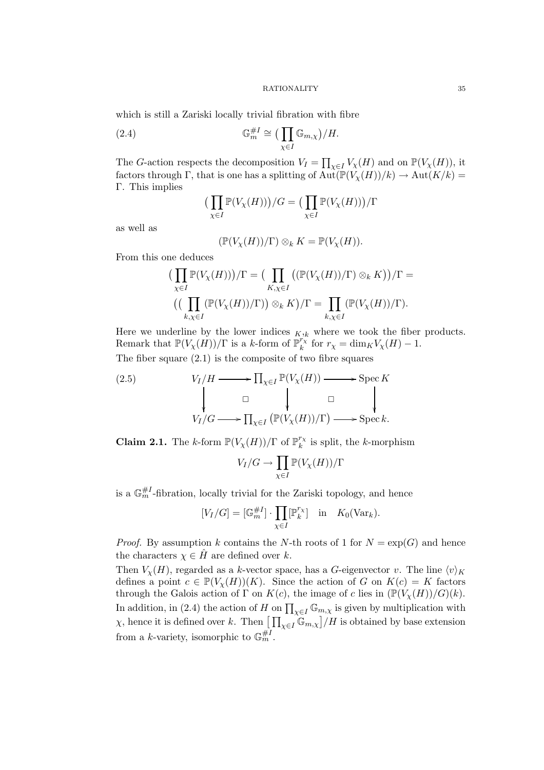which is still a Zariski locally trivial fibration with fibre

(2.4) 
$$
\mathbb{G}_m^{\#I} \cong \left(\prod_{\chi \in I} \mathbb{G}_{m,\chi}\right) / H.
$$

The G-action respects the decomposition  $V_I = \prod_{\chi \in I} V_{\chi}(H)$  and on  $\mathbb{P}(V_{\chi}(H))$ , it factors through Γ, that is one has a splitting of  $\text{Aut}(\mathbb{P}(V_{\chi}(H))/k) \to \text{Aut}(K/k) =$ Γ. This implies

$$
\left(\prod_{\chi \in I} \mathbb{P}(V_{\chi}(H))\right)/G = \left(\prod_{\chi \in I} \mathbb{P}(V_{\chi}(H))\right)/\Gamma
$$

as well as

$$
(\mathbb{P}(V_{\chi}(H))/\Gamma) \otimes_k K = \mathbb{P}(V_{\chi}(H)).
$$

From this one deduces

$$
\left(\prod_{\chi \in I} \mathbb{P}(V_{\chi}(H))\right) / \Gamma = \left(\prod_{K,\chi \in I} \left((\mathbb{P}(V_{\chi}(H))/\Gamma) \otimes_{k} K\right)\right) / \Gamma = \left(\left(\prod_{k,\chi \in I} \left(\mathbb{P}(V_{\chi}(H))/\Gamma\right)\right) \otimes_{k} K\right) / \Gamma = \prod_{k,\chi \in I} \left(\mathbb{P}(V_{\chi}(H))/\Gamma\right).
$$

Here we underline by the lower indices  $K_{jk}$  where we took the fiber products. Remark that  $\mathbb{P}(V_\chi(H))/\Gamma$  is a k-form of  $\mathbb{P}_{k}^{r_{\chi}}$  $\int_k^{\prime_X}$  for  $r_\chi = \dim_K V_\chi(H) - 1$ . The fiber square (2.1) is the composite of two fibre squares

(2.5) 
$$
V_I/H \longrightarrow \prod_{\chi \in I} \mathbb{P}(V_{\chi}(H)) \longrightarrow \text{Spec } K
$$

$$
\downarrow \qquad \qquad \downarrow \qquad \qquad \square
$$

$$
V_I/G \longrightarrow \prod_{\chi \in I} \left( \mathbb{P}(V_{\chi}(H))/\Gamma \right) \longrightarrow \text{Spec } k.
$$

**Claim 2.1.** The k-form  $\mathbb{P}(V_\chi(H))/\Gamma$  of  $\mathbb{P}_k^{r_\chi}$  $\kappa_k^{\prime\chi}$  is split, the k-morphism

$$
V_I/G \to \prod_{\chi \in I} \mathbb{P}(V_\chi(H))/\Gamma
$$

is a  $\mathbb{G}_m^{\#I}$ -fibration, locally trivial for the Zariski topology, and hence

$$
[V_I/G] = [\mathbb{G}_m^{\#I}] \cdot \prod_{\chi \in I} [\mathbb{P}_k^{r_{\chi}}] \text{ in } K_0(\text{Var}_k).
$$

*Proof.* By assumption k contains the N-th roots of 1 for  $N = \exp(G)$  and hence the characters  $\chi \in \hat{H}$  are defined over k.

Then  $V_{\chi}(H)$ , regarded as a k-vector space, has a G-eigenvector v. The line  $\langle v \rangle_K$ defines a point  $c \in \mathbb{P}(V_{\chi}(H))(K)$ . Since the action of G on  $K(c) = K$  factors through the Galois action of Γ on  $K(c)$ , the image of c lies in  $(\mathbb{P}(V_X(H))/G)(k)$ . In addition, in (2.4) the action of H on  $\prod_{\chi \in I} \mathbb{G}_{m,\chi}$  is given by multiplication with  $\chi$ , hence it is defined over k. Then  $\left[\prod_{\chi \in I} \mathbb{G}_{m,\chi}\right] / H$  is obtained by base extension from a k-variety, isomorphic to  $\mathbb{G}_m^{\#I}$ .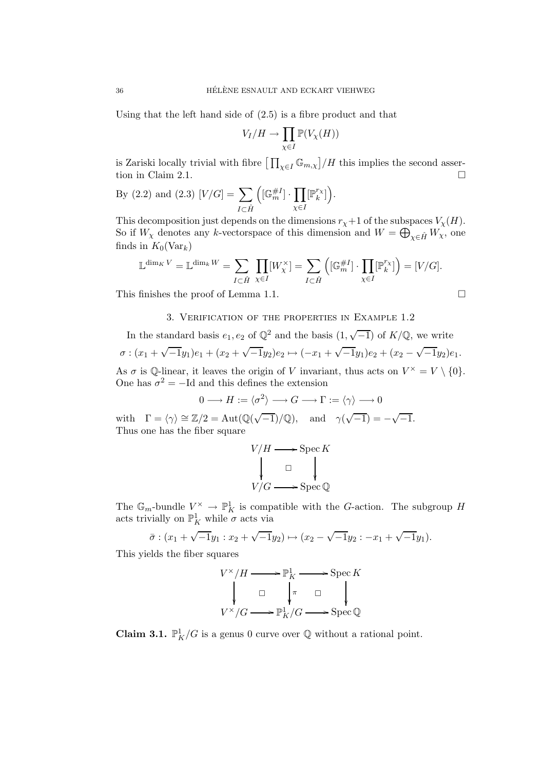Using that the left hand side of (2.5) is a fibre product and that

$$
V_I/H \to \prod_{\chi \in I} \mathbb{P}(V_\chi(H))
$$

is Zariski locally trivial with fibre  $\left[\prod_{\chi \in I} \mathbb{G}_{m,\chi}\right] / H$  this implies the second assertion in Claim 2.1.  $\Box$ 

By (2.2) and (2.3) 
$$
[V/G] = \sum_{I \subset \hat{H}} \left( [\mathbb{G}_m^{\#I}] \cdot \prod_{\chi \in I} [\mathbb{P}_k^{r_{\chi}}] \right).
$$

This decomposition just depends on the dimensions  $r_{\chi}+1$  of the subspaces  $V_{\chi}(H)$ . So if  $W_\chi$  denotes any k-vectorspace of this dimension and  $W = \bigoplus_{\chi \in \hat{H}} W_\chi$ , one finds in  $K_0(\text{Var}_k)$ 

$$
\mathbb{L}^{\dim_K V} = \mathbb{L}^{\dim_k W} = \sum_{I \subset \hat{H}} \prod_{\chi \in I} [W_{\chi}^{\times}] = \sum_{I \subset \hat{H}} \left( [\mathbb{G}_m^{\#I}] \cdot \prod_{\chi \in I} [\mathbb{P}_k^{r_{\chi}}] \right) = [V/G].
$$

This finishes the proof of Lemma 1.1.

# 3. Verification of the properties in Example 1.2

In the standard basis  $e_1, e_2$  of  $\mathbb{Q}^2$  and the basis  $(1, \sqrt{-1})$  of  $K/\mathbb{Q}$ , we write  $\sigma: (x_1 + \sqrt{-1}y_1)e_1 + (x_2 + \sqrt{-1}y_2)e_2 \mapsto (-x_1 + \sqrt{-1}y_1)e_2 + (x_2 - \sqrt{-1}y_2)e_1.$ As  $\sigma$  is Q-linear, it leaves the origin of V invariant, thus acts on  $V^{\times} = V \setminus \{0\}.$ 

One has  $\sigma^2 = -Id$  and this defines the extension

$$
0 \longrightarrow H := \langle \sigma^2 \rangle \longrightarrow G \longrightarrow \Gamma := \langle \gamma \rangle \longrightarrow 0
$$
  

$$
\mathbb{Z}/2 = \text{Aut}(\mathbb{Q}(\sqrt{-1})/\mathbb{Q}) \quad \text{and} \quad \mathbb{Z}(\sqrt{-1}) = \sqrt{-1}
$$

with  $\Gamma = \langle \gamma \rangle \cong \mathbb{Z}/2 = \text{Aut}(\mathbb{Q}(\sqrt{-1})/\mathbb{Q}), \text{ and } \gamma(\sqrt{-1}) = -\sqrt{-1}.$ Thus one has the fiber square

$$
V/H \longrightarrow \operatorname{Spec} K
$$
  
\n
$$
\downarrow \Box
$$
  
\n
$$
V/G \longrightarrow \operatorname{Spec} \mathbb{Q}
$$

The  $\mathbb{G}_m$ -bundle  $V^\times \to \mathbb{P}^1_K$  is compatible with the G-action. The subgroup H acts trivially on  $\mathbb{P}^1_K$  while  $\sigma$  acts via

$$
\bar{\sigma} : (x_1 + \sqrt{-1}y_1 : x_2 + \sqrt{-1}y_2) \mapsto (x_2 - \sqrt{-1}y_2 : -x_1 + \sqrt{-1}y_1).
$$

This yields the fiber squares

$$
V^{\times}/H \longrightarrow \mathbb{P}^1_K \longrightarrow \operatorname{Spec} K
$$
  
\n
$$
\downarrow \qquad \qquad \downarrow \pi \qquad \qquad \downarrow
$$
  
\n
$$
V^{\times}/G \longrightarrow \mathbb{P}^1_K/G \longrightarrow \operatorname{Spec} \mathbb{Q}
$$

**Claim 3.1.**  $\mathbb{P}_K^1/G$  is a genus 0 curve over  $\mathbb Q$  without a rational point.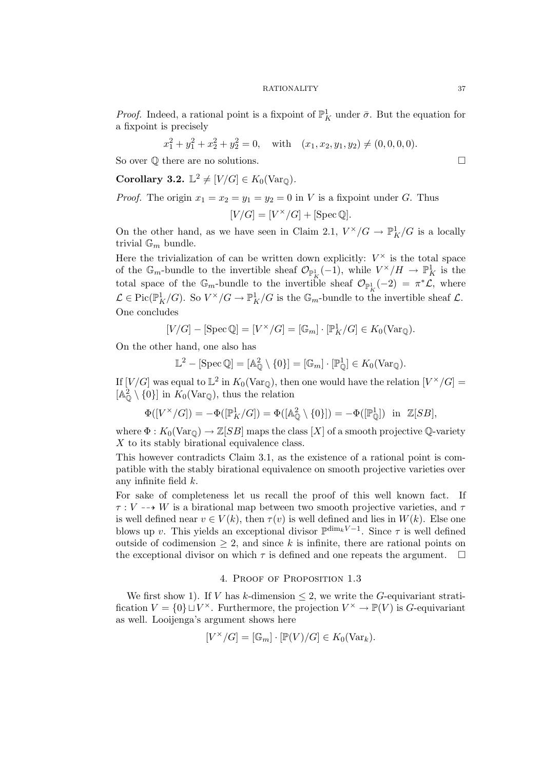*Proof.* Indeed, a rational point is a fixpoint of  $\mathbb{P}^1_K$  under  $\bar{\sigma}$ . But the equation for a fixpoint is precisely

$$
x_1^2 + y_1^2 + x_2^2 + y_2^2 = 0
$$
, with  $(x_1, x_2, y_1, y_2) \neq (0, 0, 0, 0)$ .

So over  $\mathbb Q$  there are no solutions.

**Corollary 3.2.**  $\mathbb{L}^2 \neq [V/G] \in K_0(\text{Var}_{\mathbb{Q}})$ .

*Proof.* The origin  $x_1 = x_2 = y_1 = y_2 = 0$  in V is a fixpoint under G. Thus

$$
[V/G] = [V^{\times}/G] + [\text{Spec}\,\mathbb{Q}].
$$

On the other hand, as we have seen in Claim 2.1,  $V^{\times}/G \rightarrow \mathbb{P}^1_K/G$  is a locally trivial  $\mathbb{G}_m$  bundle.

Here the trivialization of can be written down explicitly:  $V^{\times}$  is the total space of the  $\mathbb{G}_m$ -bundle to the invertible sheaf  $\mathcal{O}_{\mathbb{P}^1_K}(-1)$ , while  $V^\times/H \to \mathbb{P}^1_K$  is the total space of the  $\mathbb{G}_m$ -bundle to the invertible sheaf  $\mathcal{O}_{\mathbb{P}^1_K}(-2) = \pi^*\mathcal{L}$ , where  $\mathcal{L} \in \mathrm{Pic}(\mathbb{P}^1_K/G)$ . So  $V^\times/G \to \mathbb{P}^1_K/G$  is the  $\mathbb{G}_m$ -bundle to the invertible sheaf  $\mathcal{L}$ . One concludes

$$
[V/G] - [\operatorname{Spec} \mathbb{Q}] = [V^{\times}/G] = [\mathbb{G}_m] \cdot [\mathbb{P}_K^1/G] \in K_0(\operatorname{Var}_{\mathbb{Q}}).
$$

On the other hand, one also has

$$
\mathbb{L}^2 - [\operatorname{Spec} \mathbb{Q}] = [\mathbb{A}_{\mathbb{Q}}^2 \setminus \{0\}] = [\mathbb{G}_m] \cdot [\mathbb{P}_{\mathbb{Q}}^1] \in K_0(\operatorname{Var}_{\mathbb{Q}}).
$$

If  $[V/G]$  was equal to  $\mathbb{L}^2$  in  $K_0(\text{Var}_{\mathbb{Q}})$ , then one would have the relation  $[V^{\times}/G] =$  $[A_{\mathbb{Q}}^2 \setminus \{0\}]$  in  $K_0(\text{Var}_{\mathbb{Q}})$ , thus the relation

$$
\Phi([V^{\times}/G]) = -\Phi([\mathbb{P}_K^1/G]) = \Phi([\mathbb{A}_{\mathbb{Q}}^2 \setminus \{0\}]) = -\Phi([\mathbb{P}_{\mathbb{Q}}^1]) \text{ in } \mathbb{Z}[SB],
$$

where  $\Phi: K_0(\text{Var}_{\mathbb{Q}}) \to \mathbb{Z}[SB]$  maps the class  $[X]$  of a smooth projective  $\mathbb{Q}$ -variety X to its stably birational equivalence class.

This however contradicts Claim 3.1, as the existence of a rational point is compatible with the stably birational equivalence on smooth projective varieties over any infinite field k.

For sake of completeness let us recall the proof of this well known fact. If  $\tau: V \dashrightarrow W$  is a birational map between two smooth projective varieties, and  $\tau$ is well defined near  $v \in V(k)$ , then  $\tau(v)$  is well defined and lies in  $W(k)$ . Else one blows up v. This yields an exceptional divisor  $\mathbb{P}^{\dim_k V - 1}$ . Since  $\tau$  is well defined outside of codimension  $\geq 2$ , and since k is infinite, there are rational points on the exceptional divisor on which  $\tau$  is defined and one repeats the argument.  $\Box$ 

# 4. Proof of Proposition 1.3

We first show 1). If V has k-dimension  $\leq$  2, we write the G-equivariant stratification  $V = \{0\} \sqcup V^{\times}$ . Furthermore, the projection  $V^{\times} \to \mathbb{P}(V)$  is G-equivariant as well. Looijenga's argument shows here

$$
[V^{\times}/G] = [\mathbb{G}_m] \cdot [\mathbb{P}(V)/G] \in K_0(\text{Var}_k).
$$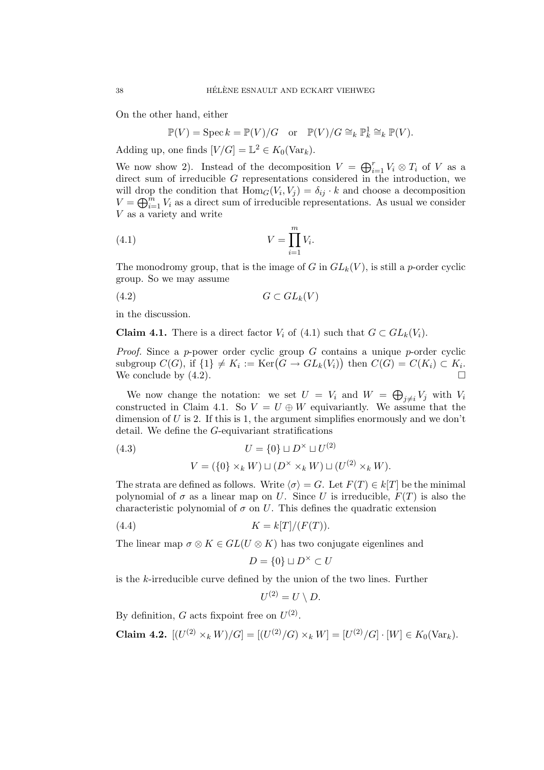On the other hand, either

$$
\mathbb{P}(V) = \operatorname{Spec} k = \mathbb{P}(V)/G \quad \text{or} \quad \mathbb{P}(V)/G \cong_k \mathbb{P}_k^1 \cong_k \mathbb{P}(V).
$$

Adding up, one finds  $[V/G] = \mathbb{L}^2 \in K_0(\text{Var}_k)$ .

We now show 2). Instead of the decomposition  $V = \bigoplus_{i=1}^r V_i \otimes T_i$  of V as a direct sum of irreducible G representations considered in the introduction, we will drop the condition that  $\text{Hom}_G(V_i, V_j) = \delta_{ij} \cdot k$  and choose a decomposition  $V = \bigoplus_{i=1}^{\tilde{m}} V_i$  as a direct sum of irreducible representations. As usual we consider V as a variety and write

$$
(4.1) \t\t\t V = \prod_{i=1}^{m} V_i.
$$

The monodromy group, that is the image of G in  $GL_k(V)$ , is still a p-order cyclic group. So we may assume

$$
(4.2)\t\t\t G \subset GL_k(V)
$$

in the discussion.

**Claim 4.1.** There is a direct factor  $V_i$  of (4.1) such that  $G \subset GL_k(V_i)$ .

*Proof.* Since a p-power order cyclic group G contains a unique p-order cyclic subgroup  $C(G)$ , if  $\{1\} \neq K_i := \text{Ker}(G \to GL_k(V_i))$  then  $C(G) = C(K_i) \subset K_i$ . We conclude by  $(4.2)$ .

We now change the notation: we set  $U = V_i$  and  $W = \bigoplus_{j \neq i} V_j$  with  $V_i$ constructed in Claim 4.1. So  $V = U \oplus W$  equivariantly. We assume that the dimension of  $U$  is 2. If this is 1, the argument simplifies enormously and we don't detail. We define the G-equivariant stratifications

(4.3) 
$$
U = \{0\} \sqcup D^{\times} \sqcup U^{(2)}
$$

$$
V = (\{0\} \times_k W) \sqcup (D^{\times} \times_k W) \sqcup (U^{(2)} \times_k W).
$$

The strata are defined as follows. Write  $\langle \sigma \rangle = G$ . Let  $F(T) \in k[T]$  be the minimal polynomial of  $\sigma$  as a linear map on U. Since U is irreducible,  $F(T)$  is also the characteristic polynomial of  $\sigma$  on U. This defines the quadratic extension

$$
(4.4) \t\t K = k[T]/(F(T)).
$$

The linear map  $\sigma \otimes K \in GL(U \otimes K)$  has two conjugate eigenlines and

$$
D = \{0\} \sqcup D^\times \subset U
$$

is the k-irreducible curve defined by the union of the two lines. Further

$$
U^{(2)}=U\setminus D.
$$

By definition, G acts fixpoint free on  $U^{(2)}$ .

**Claim 4.2.** 
$$
[(U^{(2)} \times_k W)/G] = [(U^{(2)}/G) \times_k W] = [U^{(2)}/G] \cdot [W] \in K_0(\text{Var}_k).
$$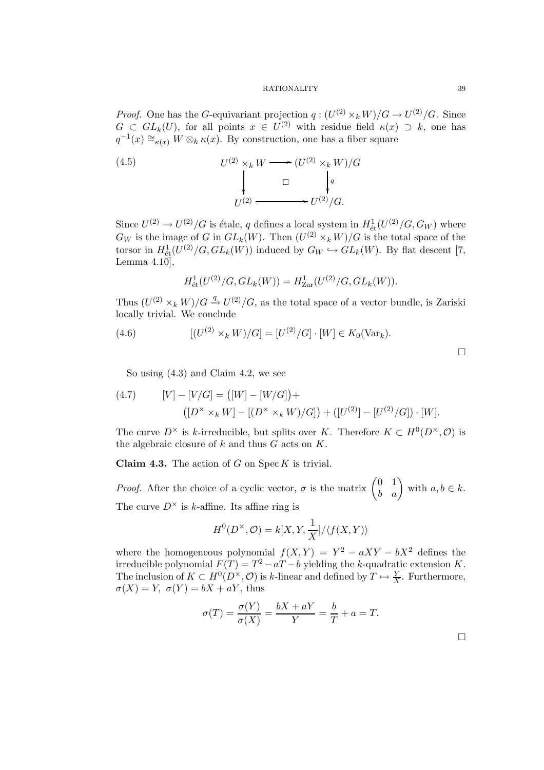*Proof.* One has the G-equivariant projection  $q: (U^{(2)} \times_k W)/G \to U^{(2)}/G$ . Since  $G \subset GL_k(U)$ , for all points  $x \in U^{(2)}$  with residue field  $\kappa(x) \supset k$ , one has  $q^{-1}(x) \cong_{\kappa(x)} W \otimes_k \kappa(x)$ . By construction, one has a fiber square

(4.5) 
$$
U^{(2)} \times_k W \longrightarrow (U^{(2)} \times_k W)/G
$$

$$
\downarrow \qquad \qquad \Box \qquad \downarrow q
$$

$$
U^{(2)} \longrightarrow U^{(2)}/G.
$$

Since  $U^{(2)} \to U^{(2)}/G$  is étale, q defines a local system in  $H^1_{\text{\'et}}(U^{(2)}/G, G_W)$  where  $G_W$  is the image of G in  $GL_k(W)$ . Then  $(U^{(2)} \times_k W)/G$  is the total space of the torsor in  $H^1_{\text{\'et}}(U^{(2)}/G, GL_k(W))$  induced by  $G_W \hookrightarrow GL_k(W)$ . By flat descent [7, Lemma 4.10],

$$
H^1_{\text{\'et}}(U^{(2)}/G, GL_k(W)) = H^1_{\text{Zar}}(U^{(2)}/G, GL_k(W)).
$$

Thus  $(U^{(2)} \times_k W)/G \stackrel{q}{\rightarrow} U^{(2)}/G$ , as the total space of a vector bundle, is Zariski locally trivial. We conclude

(4.6) 
$$
[(U^{(2)} \times_k W)/G] = [U^{(2)}/G] \cdot [W] \in K_0(\text{Var}_k).
$$

 $\Box$ 

So using (4.3) and Claim 4.2, we see

(4.7) 
$$
[V] - [V/G] = ([W] - [W/G]) +
$$

$$
([D^{\times} \times_k W] - [(D^{\times} \times_k W)/G]) + ([U^{(2)}] - [U^{(2)}/G]) \cdot [W].
$$

The curve  $D^{\times}$  is k-irreducible, but splits over K. Therefore  $K \subset H^0(D^{\times}, \mathcal{O})$  is the algebraic closure of  $k$  and thus  $G$  acts on  $K$ .

**Claim 4.3.** The action of  $G$  on  $\text{Spec } K$  is trivial.

*Proof.* After the choice of a cyclic vector,  $\sigma$  is the matrix  $\begin{pmatrix} 0 & 1 \\ b & a \end{pmatrix}$  with  $a, b \in k$ . The curve  $D^{\times}$  is k-affine. Its affine ring is

$$
H^{0}(D^{\times}, \mathcal{O}) = k[X, Y, \frac{1}{X}]/\langle f(X, Y) \rangle
$$

where the homogeneous polynomial  $f(X,Y) = Y^2 - aXY - bX^2$  defines the irreducible polynomial  $F(T) = T^2 - aT - b$  yielding the k-quadratic extension K. The inclusion of  $K \subset H^0(D^{\times}, \mathcal{O})$  is k-linear and defined by  $T \mapsto \frac{Y}{X}$ . Furthermore,  $\sigma(X) = Y$ ,  $\sigma(Y) = bX + aY$ , thus

$$
\sigma(T) = \frac{\sigma(Y)}{\sigma(X)} = \frac{bX + aY}{Y} = \frac{b}{T} + a = T.
$$

 $\Box$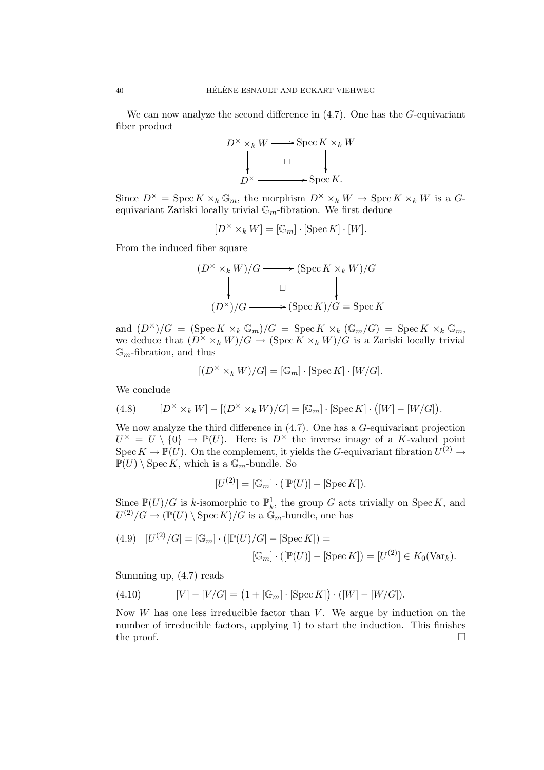We can now analyze the second difference in  $(4.7)$ . One has the G-equivariant fiber product

$$
D^{\times} \times_k W \longrightarrow \operatorname{Spec} K \times_k W
$$
  
\n
$$
\downarrow \qquad \Box \qquad \downarrow
$$
  
\n
$$
D^{\times} \longrightarrow \operatorname{Spec} K.
$$

Since  $D^{\times} = \operatorname{Spec} K \times_k \mathbb{G}_m$ , the morphism  $D^{\times} \times_k W \to \operatorname{Spec} K \times_k W$  is a Gequivariant Zariski locally trivial  $\mathbb{G}_m$ -fibration. We first deduce

$$
[D^\times \times_k W]=[\mathbb{G}_m] \cdot [\operatorname{Spec} K] \cdot [W].
$$

From the induced fiber square

$$
(D^{\times} \times_k W)/G \longrightarrow (\operatorname{Spec} K \times_k W)/G
$$
  
\n
$$
\downarrow \qquad \qquad \Box \qquad \qquad \downarrow
$$
  
\n
$$
(D^{\times})/G \longrightarrow (\operatorname{Spec} K)/G = \operatorname{Spec} K
$$

and  $(D^{\times})/G = (\operatorname{Spec} K \times_k \mathbb{G}_m)/G = \operatorname{Spec} K \times_k (\mathbb{G}_m/G) = \operatorname{Spec} K \times_k \mathbb{G}_m$ , we deduce that  $(D^{\times} \times_k W)/G \to (\operatorname{Spec} K \times_k W)/G$  is a Zariski locally trivial  $\mathbb{G}_m$ -fibration, and thus

$$
[(D^\times \times_k W)/G]=[\mathbb{G}_m] \cdot [\operatorname{Spec} K] \cdot [W/G].
$$

We conclude

(4.8) 
$$
[D^{\times} \times_k W] - [(D^{\times} \times_k W)/G] = [\mathbb{G}_m] \cdot [\text{Spec } K] \cdot ([W] - [W/G]).
$$

We now analyze the third difference in  $(4.7)$ . One has a G-equivariant projection  $U^{\times} = U \setminus \{0\} \to \mathbb{P}(U)$ . Here is  $D^{\times}$  the inverse image of a K-valued point Spec  $K \to \mathbb{P}(U)$ . On the complement, it yields the G-equivariant fibration  $U^{(2)} \to$  $\mathbb{P}(U) \setminus \operatorname{Spec} K$ , which is a  $\mathbb{G}_m$ -bundle. So

$$
[U^{(2)}] = [\mathbb{G}_m] \cdot ([\mathbb{P}(U)] - [\operatorname{Spec} K]).
$$

Since  $\mathbb{P}(U)/G$  is k-isomorphic to  $\mathbb{P}^1_k$ , the group G acts trivially on Spec K, and  $U^{(2)}/G \to (\mathbb{P}(U) \setminus \operatorname{Spec} K)/G$  is a  $\mathbb{G}_m$ -bundle, one has

(4.9) 
$$
[U^{(2)}/G] = [\mathbb{G}_m] \cdot ([\mathbb{P}(U)/G] - [\text{Spec } K]) = [U^{(2)}] \in K_0(\text{Var}_k).
$$

$$
[\mathbb{G}_m] \cdot ([\mathbb{P}(U)] - [\text{Spec } K]) = [U^{(2)}] \in K_0(\text{Var}_k).
$$

Summing up, (4.7) reads

(4.10) 
$$
[V] - [V/G] = (1 + [\mathbb{G}_m] \cdot [\text{Spec } K]) \cdot ([W] - [W/G]).
$$

Now  $W$  has one less irreducible factor than  $V$ . We argue by induction on the number of irreducible factors, applying 1) to start the induction. This finishes the proof.  $\Box$